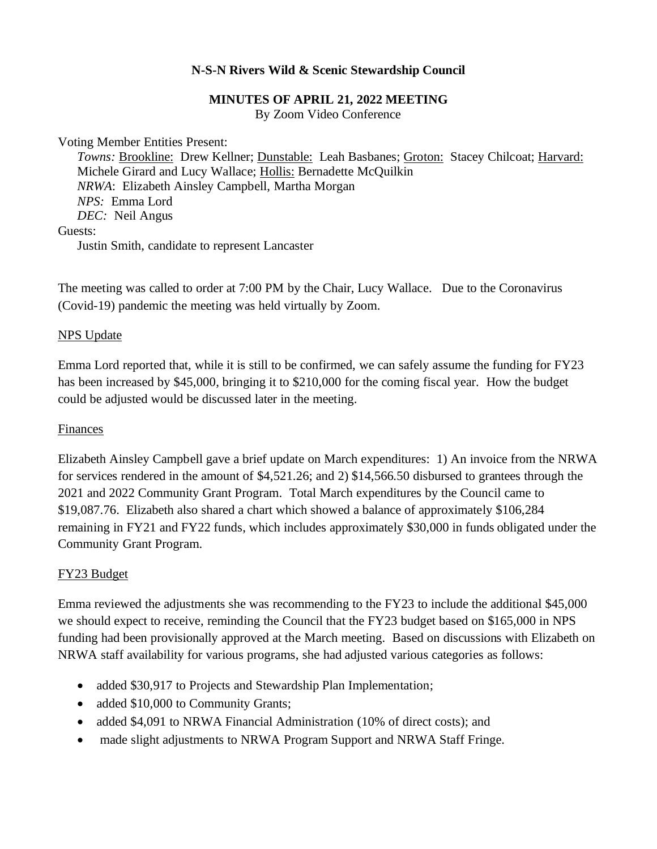## **N-S-N Rivers Wild & Scenic Stewardship Council**

#### **MINUTES OF APRIL 21, 2022 MEETING**

By Zoom Video Conference

Voting Member Entities Present:

*Towns:* Brookline: Drew Kellner; Dunstable: Leah Basbanes; Groton: Stacey Chilcoat; Harvard: Michele Girard and Lucy Wallace; Hollis: Bernadette McQuilkin *NRWA*: Elizabeth Ainsley Campbell, Martha Morgan *NPS:* Emma Lord *DEC:* Neil Angus Guests: Justin Smith, candidate to represent Lancaster

The meeting was called to order at 7:00 PM by the Chair, Lucy Wallace. Due to the Coronavirus (Covid-19) pandemic the meeting was held virtually by Zoom.

#### NPS Update

Emma Lord reported that, while it is still to be confirmed, we can safely assume the funding for FY23 has been increased by \$45,000, bringing it to \$210,000 for the coming fiscal year. How the budget could be adjusted would be discussed later in the meeting.

#### Finances

Elizabeth Ainsley Campbell gave a brief update on March expenditures: 1) An invoice from the NRWA for services rendered in the amount of \$4,521.26; and 2) \$14,566.50 disbursed to grantees through the 2021 and 2022 Community Grant Program. Total March expenditures by the Council came to \$19,087.76. Elizabeth also shared a chart which showed a balance of approximately \$106,284 remaining in FY21 and FY22 funds, which includes approximately \$30,000 in funds obligated under the Community Grant Program.

#### FY23 Budget

Emma reviewed the adjustments she was recommending to the FY23 to include the additional \$45,000 we should expect to receive, reminding the Council that the FY23 budget based on \$165,000 in NPS funding had been provisionally approved at the March meeting. Based on discussions with Elizabeth on NRWA staff availability for various programs, she had adjusted various categories as follows:

- added \$30,917 to Projects and Stewardship Plan Implementation;
- added \$10,000 to Community Grants;
- added \$4,091 to NRWA Financial Administration (10% of direct costs); and
- made slight adjustments to NRWA Program Support and NRWA Staff Fringe.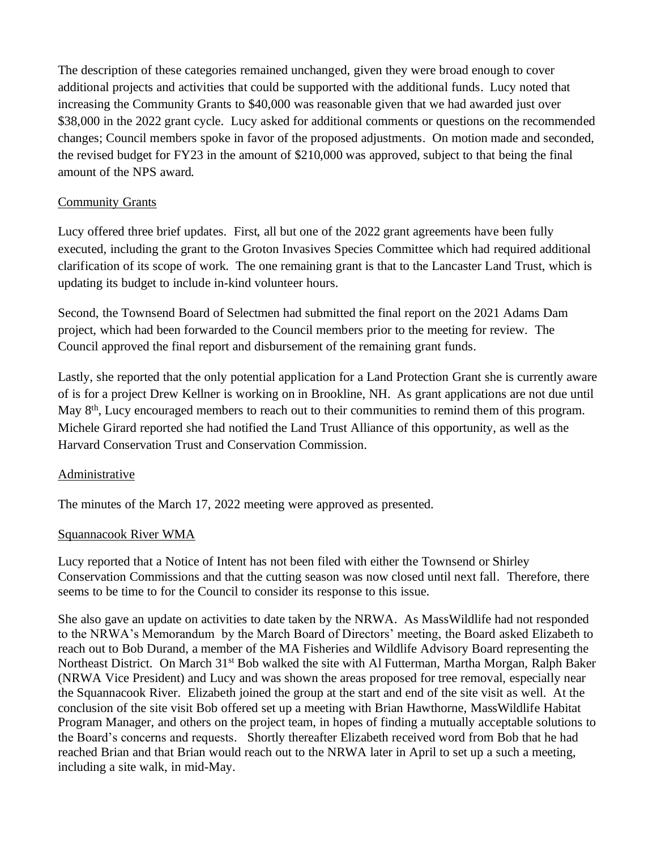The description of these categories remained unchanged, given they were broad enough to cover additional projects and activities that could be supported with the additional funds. Lucy noted that increasing the Community Grants to \$40,000 was reasonable given that we had awarded just over \$38,000 in the 2022 grant cycle. Lucy asked for additional comments or questions on the recommended changes; Council members spoke in favor of the proposed adjustments. On motion made and seconded, the revised budget for FY23 in the amount of \$210,000 was approved, subject to that being the final amount of the NPS award.

# Community Grants

Lucy offered three brief updates. First, all but one of the 2022 grant agreements have been fully executed, including the grant to the Groton Invasives Species Committee which had required additional clarification of its scope of work. The one remaining grant is that to the Lancaster Land Trust, which is updating its budget to include in-kind volunteer hours.

Second, the Townsend Board of Selectmen had submitted the final report on the 2021 Adams Dam project, which had been forwarded to the Council members prior to the meeting for review. The Council approved the final report and disbursement of the remaining grant funds.

Lastly, she reported that the only potential application for a Land Protection Grant she is currently aware of is for a project Drew Kellner is working on in Brookline, NH. As grant applications are not due until May 8<sup>th</sup>, Lucy encouraged members to reach out to their communities to remind them of this program. Michele Girard reported she had notified the Land Trust Alliance of this opportunity, as well as the Harvard Conservation Trust and Conservation Commission.

## Administrative

The minutes of the March 17, 2022 meeting were approved as presented.

## Squannacook River WMA

Lucy reported that a Notice of Intent has not been filed with either the Townsend or Shirley Conservation Commissions and that the cutting season was now closed until next fall. Therefore, there seems to be time to for the Council to consider its response to this issue.

She also gave an update on activities to date taken by the NRWA. As MassWildlife had not responded to the NRWA's Memorandum by the March Board of Directors' meeting, the Board asked Elizabeth to reach out to Bob Durand, a member of the MA Fisheries and Wildlife Advisory Board representing the Northeast District. On March 31<sup>st</sup> Bob walked the site with Al Futterman, Martha Morgan, Ralph Baker (NRWA Vice President) and Lucy and was shown the areas proposed for tree removal, especially near the Squannacook River. Elizabeth joined the group at the start and end of the site visit as well. At the conclusion of the site visit Bob offered set up a meeting with Brian Hawthorne, MassWildlife Habitat Program Manager, and others on the project team, in hopes of finding a mutually acceptable solutions to the Board's concerns and requests. Shortly thereafter Elizabeth received word from Bob that he had reached Brian and that Brian would reach out to the NRWA later in April to set up a such a meeting, including a site walk, in mid-May.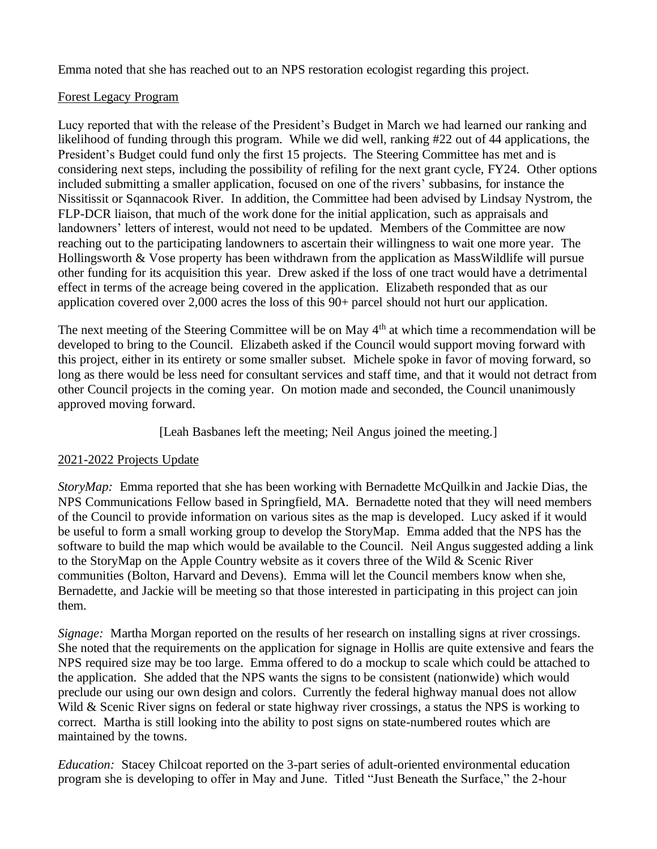Emma noted that she has reached out to an NPS restoration ecologist regarding this project.

### Forest Legacy Program

Lucy reported that with the release of the President's Budget in March we had learned our ranking and likelihood of funding through this program. While we did well, ranking #22 out of 44 applications, the President's Budget could fund only the first 15 projects. The Steering Committee has met and is considering next steps, including the possibility of refiling for the next grant cycle, FY24. Other options included submitting a smaller application, focused on one of the rivers' subbasins, for instance the Nissitissit or Sqannacook River. In addition, the Committee had been advised by Lindsay Nystrom, the FLP-DCR liaison, that much of the work done for the initial application, such as appraisals and landowners' letters of interest, would not need to be updated. Members of the Committee are now reaching out to the participating landowners to ascertain their willingness to wait one more year. The Hollingsworth & Vose property has been withdrawn from the application as MassWildlife will pursue other funding for its acquisition this year. Drew asked if the loss of one tract would have a detrimental effect in terms of the acreage being covered in the application. Elizabeth responded that as our application covered over 2,000 acres the loss of this 90+ parcel should not hurt our application.

The next meeting of the Steering Committee will be on May 4<sup>th</sup> at which time a recommendation will be developed to bring to the Council. Elizabeth asked if the Council would support moving forward with this project, either in its entirety or some smaller subset. Michele spoke in favor of moving forward, so long as there would be less need for consultant services and staff time, and that it would not detract from other Council projects in the coming year. On motion made and seconded, the Council unanimously approved moving forward.

[Leah Basbanes left the meeting; Neil Angus joined the meeting.]

## 2021-2022 Projects Update

*StoryMap:* Emma reported that she has been working with Bernadette McQuilkin and Jackie Dias, the NPS Communications Fellow based in Springfield, MA. Bernadette noted that they will need members of the Council to provide information on various sites as the map is developed. Lucy asked if it would be useful to form a small working group to develop the StoryMap. Emma added that the NPS has the software to build the map which would be available to the Council. Neil Angus suggested adding a link to the StoryMap on the Apple Country website as it covers three of the Wild & Scenic River communities (Bolton, Harvard and Devens). Emma will let the Council members know when she, Bernadette, and Jackie will be meeting so that those interested in participating in this project can join them.

*Signage:* Martha Morgan reported on the results of her research on installing signs at river crossings. She noted that the requirements on the application for signage in Hollis are quite extensive and fears the NPS required size may be too large. Emma offered to do a mockup to scale which could be attached to the application. She added that the NPS wants the signs to be consistent (nationwide) which would preclude our using our own design and colors. Currently the federal highway manual does not allow Wild & Scenic River signs on federal or state highway river crossings, a status the NPS is working to correct. Martha is still looking into the ability to post signs on state-numbered routes which are maintained by the towns.

*Education:* Stacey Chilcoat reported on the 3-part series of adult-oriented environmental education program she is developing to offer in May and June. Titled "Just Beneath the Surface," the 2-hour